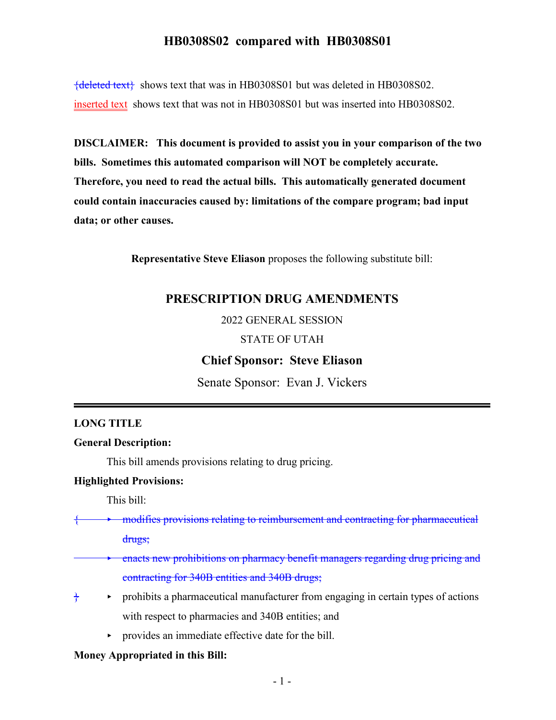${deleted text}$  shows text that was in HB0308S01 but was deleted in HB0308S02. inserted text shows text that was not in HB0308S01 but was inserted into HB0308S02.

**DISCLAIMER: This document is provided to assist you in your comparison of the two bills. Sometimes this automated comparison will NOT be completely accurate. Therefore, you need to read the actual bills. This automatically generated document could contain inaccuracies caused by: limitations of the compare program; bad input data; or other causes.**

**Representative Steve Eliason** proposes the following substitute bill:

## **PRESCRIPTION DRUG AMENDMENTS**

2022 GENERAL SESSION

#### STATE OF UTAH

#### **Chief Sponsor: Steve Eliason**

Senate Sponsor: Evan J. Vickers

#### **LONG TITLE**

#### **General Description:**

This bill amends provisions relating to drug pricing.

#### **Highlighted Provisions:**

This bill:

modifies provisions relating to reimbursement and contracting for pharmaceutical

drugs;

- < enacts new prohibitions on pharmacy benefit managers regarding drug pricing and contracting for 340B entities and 340B drugs;
- $\diamond$  prohibits a pharmaceutical manufacturer from engaging in certain types of actions with respect to pharmacies and 340B entities; and
	- provides an immediate effective date for the bill.

#### **Money Appropriated in this Bill:**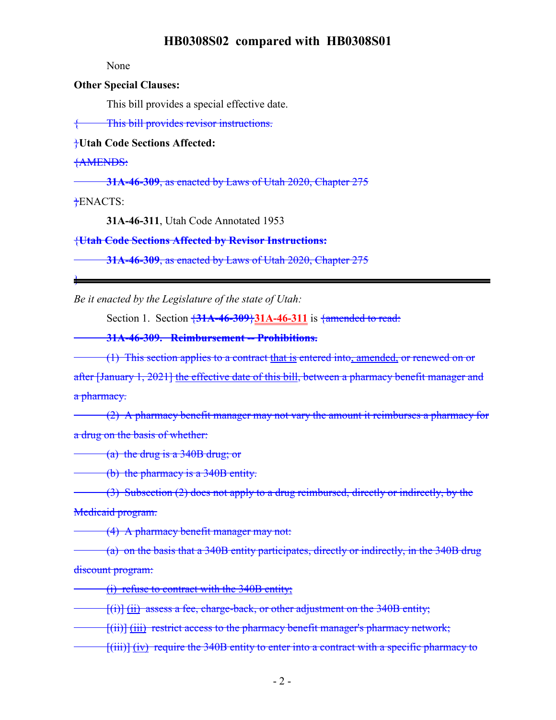None

#### **Other Special Clauses:**

This bill provides a special effective date.

{ This bill provides revisor instructions.

## }**Utah Code Sections Affected:**

{AMENDS:

**31A-46-309**, as enacted by Laws of Utah 2020, Chapter 275

}ENACTS:

}

**31A-46-311**, Utah Code Annotated 1953

{**Utah Code Sections Affected by Revisor Instructions:**

**31A-46-309**, as enacted by Laws of Utah 2020, Chapter 275

*Be it enacted by the Legislature of the state of Utah:*

Section 1. Section {**31A-46-309**}**31A-46-311** is {amended to read:

**31A-46-309. Reimbursement -- Prohibitions.**

(1) This section applies to a contract that is entered into, amended, or renewed on or after [January 1, 2021] the effective date of this bill, between a pharmacy benefit manager and a pharmacy.

(2) A pharmacy benefit manager may not vary the amount it reimburses a pharmacy for a drug on the basis of whether:

(a) the drug is a 340B drug; or

(b) the pharmacy is a 340B entity.

 $\left(3\right)$  Subsection (2) does not apply to a drug reimbursed, directly or indirectly, by the Medicaid program.

(4) A pharmacy benefit manager may not:

(a) on the basis that a 340B entity participates, directly or indirectly, in the 340B drug discount program:

(i) refuse to contract with the 340B entity;

 $[(i)]$   $(i)$  assess a fee, charge-back, or other adjustment on the 340B entity;

[(ii)] (iii) restrict access to the pharmacy benefit manager's pharmacy network;

[(iii)] (iv) require the 340B entity to enter into a contract with a specific pharmacy to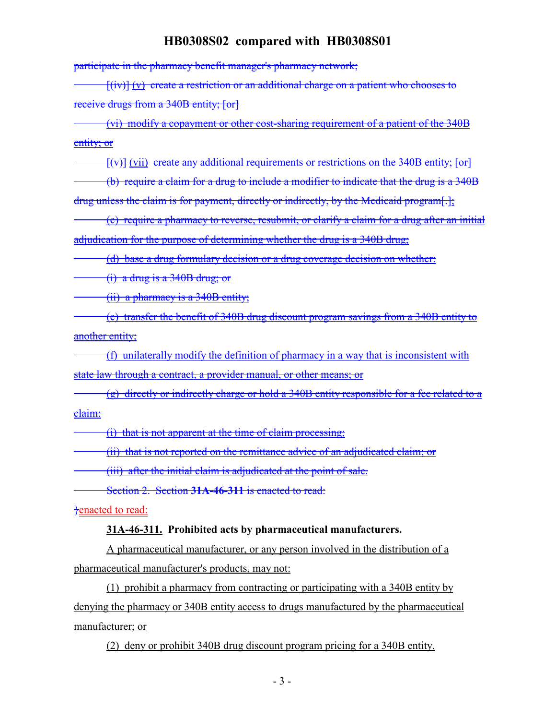participate in the pharmacy benefit manager's pharmacy network;

 $[(iv)] (v)$  create a restriction or an additional charge on a patient who chooses to receive drugs from a 340B entity; [or]

(vi) modify a copayment or other cost-sharing requirement of a patient of the 340B entity; or

 $[(v)]$  (vii) create any additional requirements or restrictions on the 340B entity; [or]

(b) require a claim for a drug to include a modifier to indicate that the drug is a 340B drug unless the claim is for payment, directly or indirectly, by the Medicaid program[.];

(c) require a pharmacy to reverse, resubmit, or clarify a claim for a drug after an initial adjudication for the purpose of determining whether the drug is a 340B drug;

(d) base a drug formulary decision or a drug coverage decision on whether:

(i) a drug is a 340B drug; or

(ii) a pharmacy is a 340B entity;

(e) transfer the benefit of 340B drug discount program savings from a 340B entity to another entity;

(f) unilaterally modify the definition of pharmacy in a way that is inconsistent with state law through a contract, a provider manual, or other means; or

(g) directly or indirectly charge or hold a 340B entity responsible for a fee related to a claim:

(i) that is not apparent at the time of claim processing;

(ii) that is not reported on the remittance advice of an adjudicated claim; or

(iii) after the initial claim is adjudicated at the point of sale.

Section 2. Section **31A-46-311** is enacted to read:

}enacted to read:

#### **31A-46-311. Prohibited acts by pharmaceutical manufacturers.**

A pharmaceutical manufacturer, or any person involved in the distribution of a pharmaceutical manufacturer's products, may not:

(1) prohibit a pharmacy from contracting or participating with a 340B entity by denying the pharmacy or 340B entity access to drugs manufactured by the pharmaceutical manufacturer; or

(2) deny or prohibit 340B drug discount program pricing for a 340B entity.